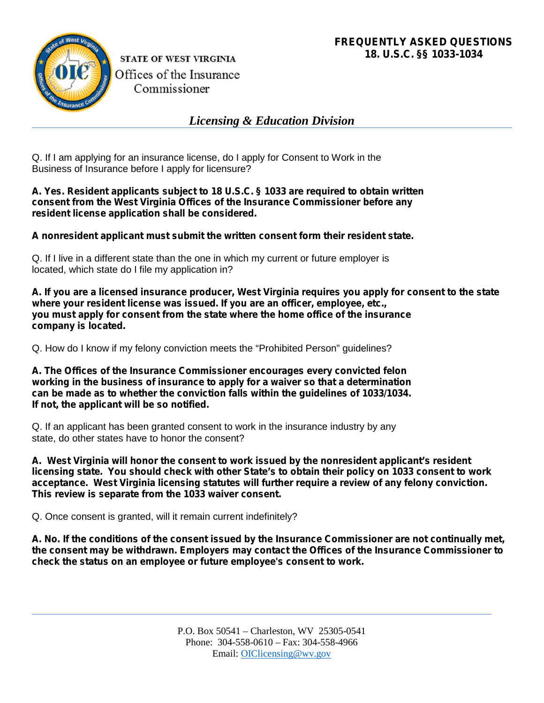

**STATE OF WEST VIRGINIA** Offices of the Insurance Commissioner

*Licensing & Education Division*

Q. If I am applying for an insurance license, do I apply for Consent to Work in the Business of Insurance before I apply for licensure?

**A. Yes. Resident applicants subject to 18 U.S.C. § 1033 are required to obtain written consent from the West Virginia Offices of the Insurance Commissioner before any resident license application shall be considered.**

**A nonresident applicant must submit the written consent form their resident state.**

Q. If I live in a different state than the one in which my current or future employer is located, which state do I file my application in?

**A. If you are a licensed insurance producer, West Virginia requires you apply for consent to the state where your resident license was issued. If you are an officer, employee, etc., you must apply for consent from the state where the home office of the insurance company is located.**

Q. How do I know if my felony conviction meets the "Prohibited Person" guidelines?

**A. The Offices of the Insurance Commissioner encourages every convicted felon working in the business of insurance to apply for a waiver so that a determination can be made as to whether the conviction falls within the guidelines of 1033/1034. If not, the applicant will be so notified.**

Q. If an applicant has been granted consent to work in the insurance industry by any state, do other states have to honor the consent?

**A. West Virginia will honor the consent to work issued by the nonresident applicant's resident licensing state. You should check with other State's to obtain their policy on 1033 consent to work acceptance. West Virginia licensing statutes will further require a review of any felony conviction. This review is separate from the 1033 waiver consent.**

Q. Once consent is granted, will it remain current indefinitely?

**A. No. If the conditions of the consent issued by the Insurance Commissioner are not continually met, the consent may be withdrawn. Employers may contact the Offices of the Insurance Commissioner to check the status on an employee or future employee's consent to work.**